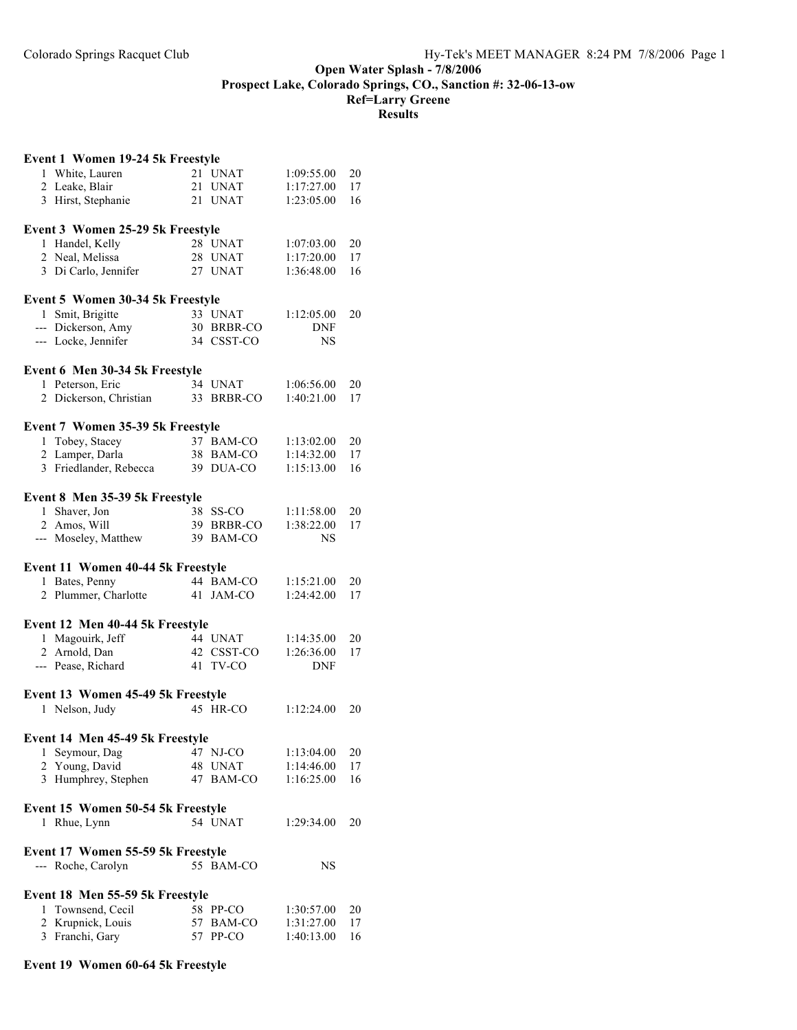## **Open Water Splash - 7/8/2006 Prospect Lake, Colorado Springs, CO., Sanction #: 32-06-13-ow Ref=Larry Greene Results**

| Event 1 Women 19-24 5k Freestyle  |           |            |            |    |
|-----------------------------------|-----------|------------|------------|----|
| 1 White, Lauren                   | 21 UNAT   |            | 1:09:55.00 | 20 |
| 2 Leake, Blair                    | 21 UNAT   |            | 1:17:27.00 | 17 |
| 3 Hirst, Stephanie                | 21 UNAT   |            | 1:23:05.00 | 16 |
| Event 3 Women 25-29 5k Freestyle  |           |            |            |    |
| 1 Handel, Kelly                   | 28 UNAT   |            | 1:07:03.00 | 20 |
| 2 Neal, Melissa                   | 28 UNAT   |            | 1:17:20.00 | 17 |
| 3 Di Carlo, Jennifer              | 27 UNAT   |            | 1:36:48.00 | 16 |
| Event 5 Women 30-34 5k Freestyle  |           |            |            |    |
| 1 Smit, Brigitte                  | 33 UNAT   |            | 1:12:05.00 | 20 |
| --- Dickerson, Amy                |           | 30 BRBR-CO | <b>DNF</b> |    |
| --- Locke, Jennifer               |           | 34 CSST-CO | NS         |    |
| Event 6 Men 30-34 5k Freestyle    |           |            |            |    |
| 1 Peterson, Eric                  | 34 UNAT   |            | 1:06:56.00 | 20 |
| 2 Dickerson, Christian            |           | 33 BRBR-CO | 1:40:21.00 | 17 |
| Event 7 Women 35-39 5k Freestyle  |           |            |            |    |
| 1 Tobey, Stacey                   |           | 37 BAM-CO  | 1:13:02.00 | 20 |
| 2 Lamper, Darla                   |           | 38 BAM-CO  | 1:14:32.00 | 17 |
| 3 Friedlander, Rebecca            |           | 39 DUA-CO  | 1:15:13.00 | 16 |
|                                   |           |            |            |    |
| Event 8 Men 35-39 5k Freestyle    |           |            |            |    |
| Shaver, Jon<br>$\mathbf{1}$       | 38 SS-CO  |            | 1:11:58.00 | 20 |
| 2 Amos, Will                      |           | 39 BRBR-CO | 1:38:22.00 | 17 |
| --- Moseley, Matthew              |           | 39 BAM-CO  | NS         |    |
| Event 11 Women 40-44 5k Freestyle |           |            |            |    |
| 1 Bates, Penny                    |           | 44 BAM-CO  | 1:15:21.00 | 20 |
| 2 Plummer, Charlotte              | 41 JAM-CO |            | 1:24:42.00 | 17 |
| Event 12 Men 40-44 5k Freestyle   |           |            |            |    |
| Magouirk, Jeff<br>1               | 44 UNAT   |            | 1:14:35.00 | 20 |
| 2 Arnold, Dan                     |           | 42 CSST-CO | 1:26:36.00 | 17 |
| --- Pease, Richard                | 41 TV-CO  |            | <b>DNF</b> |    |
| Event 13 Women 45-49 5k Freestyle |           |            |            |    |
| 1 Nelson, Judy                    | 45 HR-CO  |            | 1:12:24.00 | 20 |
|                                   |           |            |            |    |
| Event 14 Men 45-49 5k Freestyle   |           |            |            |    |
| Seymour, Dag<br>1                 | 47 NJ-CO  |            | 1:13:04.00 | 20 |
| 2 Young, David                    | 48 UNAT   |            | 1:14:46.00 | 17 |
| 3 Humphrey, Stephen               | 47        | BAM-CO     | 1:16:25.00 | 16 |
| Event 15 Women 50-54 5k Freestyle |           |            |            |    |
| Rhue, Lynn<br>1                   | 54 UNAT   |            | 1:29:34.00 | 20 |
| Event 17 Women 55-59 5k Freestyle |           |            |            |    |
| --- Roche, Carolyn                |           | 55 BAM-CO  | NS         |    |
| Event 18 Men 55-59 5k Freestyle   |           |            |            |    |
| Townsend, Cecil<br>1              | 58 PP-CO  |            | 1:30:57.00 | 20 |
| 2 Krupnick, Louis                 | 57        | BAM-CO     | 1:31:27.00 | 17 |
| 3 Franchi, Gary                   | 57        | PP-CO      | 1:40:13.00 | 16 |
|                                   |           |            |            |    |

## **Event 19 Women 60-64 5k Freestyle**